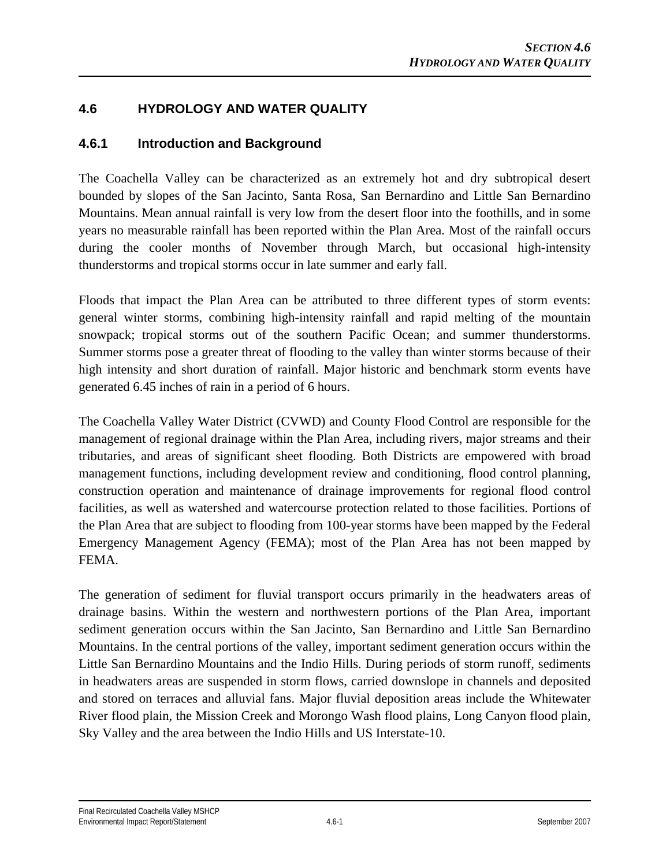## **4.6 HYDROLOGY AND WATER QUALITY**

### **4.6.1 Introduction and Background**

The Coachella Valley can be characterized as an extremely hot and dry subtropical desert bounded by slopes of the San Jacinto, Santa Rosa, San Bernardino and Little San Bernardino Mountains. Mean annual rainfall is very low from the desert floor into the foothills, and in some years no measurable rainfall has been reported within the Plan Area. Most of the rainfall occurs during the cooler months of November through March, but occasional high-intensity thunderstorms and tropical storms occur in late summer and early fall.

Floods that impact the Plan Area can be attributed to three different types of storm events: general winter storms, combining high-intensity rainfall and rapid melting of the mountain snowpack; tropical storms out of the southern Pacific Ocean; and summer thunderstorms. Summer storms pose a greater threat of flooding to the valley than winter storms because of their high intensity and short duration of rainfall. Major historic and benchmark storm events have generated 6.45 inches of rain in a period of 6 hours.

The Coachella Valley Water District (CVWD) and County Flood Control are responsible for the management of regional drainage within the Plan Area, including rivers, major streams and their tributaries, and areas of significant sheet flooding. Both Districts are empowered with broad management functions, including development review and conditioning, flood control planning, construction operation and maintenance of drainage improvements for regional flood control facilities, as well as watershed and watercourse protection related to those facilities. Portions of the Plan Area that are subject to flooding from 100-year storms have been mapped by the Federal Emergency Management Agency (FEMA); most of the Plan Area has not been mapped by FEMA.

The generation of sediment for fluvial transport occurs primarily in the headwaters areas of drainage basins. Within the western and northwestern portions of the Plan Area, important sediment generation occurs within the San Jacinto, San Bernardino and Little San Bernardino Mountains. In the central portions of the valley, important sediment generation occurs within the Little San Bernardino Mountains and the Indio Hills. During periods of storm runoff, sediments in headwaters areas are suspended in storm flows, carried downslope in channels and deposited and stored on terraces and alluvial fans. Major fluvial deposition areas include the Whitewater River flood plain, the Mission Creek and Morongo Wash flood plains, Long Canyon flood plain, Sky Valley and the area between the Indio Hills and US Interstate-10.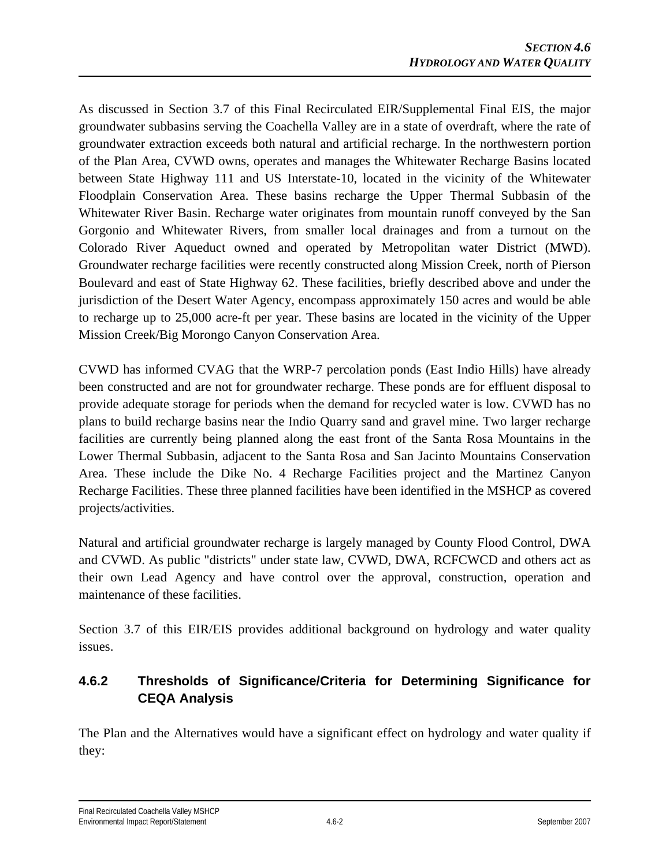As discussed in Section 3.7 of this Final Recirculated EIR/Supplemental Final EIS, the major groundwater subbasins serving the Coachella Valley are in a state of overdraft, where the rate of groundwater extraction exceeds both natural and artificial recharge. In the northwestern portion of the Plan Area, CVWD owns, operates and manages the Whitewater Recharge Basins located between State Highway 111 and US Interstate-10, located in the vicinity of the Whitewater Floodplain Conservation Area. These basins recharge the Upper Thermal Subbasin of the Whitewater River Basin. Recharge water originates from mountain runoff conveyed by the San Gorgonio and Whitewater Rivers, from smaller local drainages and from a turnout on the Colorado River Aqueduct owned and operated by Metropolitan water District (MWD). Groundwater recharge facilities were recently constructed along Mission Creek, north of Pierson Boulevard and east of State Highway 62. These facilities, briefly described above and under the jurisdiction of the Desert Water Agency, encompass approximately 150 acres and would be able to recharge up to 25,000 acre-ft per year. These basins are located in the vicinity of the Upper Mission Creek/Big Morongo Canyon Conservation Area.

CVWD has informed CVAG that the WRP-7 percolation ponds (East Indio Hills) have already been constructed and are not for groundwater recharge. These ponds are for effluent disposal to provide adequate storage for periods when the demand for recycled water is low. CVWD has no plans to build recharge basins near the Indio Quarry sand and gravel mine. Two larger recharge facilities are currently being planned along the east front of the Santa Rosa Mountains in the Lower Thermal Subbasin, adjacent to the Santa Rosa and San Jacinto Mountains Conservation Area. These include the Dike No. 4 Recharge Facilities project and the Martinez Canyon Recharge Facilities. These three planned facilities have been identified in the MSHCP as covered projects/activities.

Natural and artificial groundwater recharge is largely managed by County Flood Control, DWA and CVWD. As public "districts" under state law, CVWD, DWA, RCFCWCD and others act as their own Lead Agency and have control over the approval, construction, operation and maintenance of these facilities.

Section 3.7 of this EIR/EIS provides additional background on hydrology and water quality issues.

# **4.6.2 Thresholds of Significance/Criteria for Determining Significance for CEQA Analysis**

The Plan and the Alternatives would have a significant effect on hydrology and water quality if they: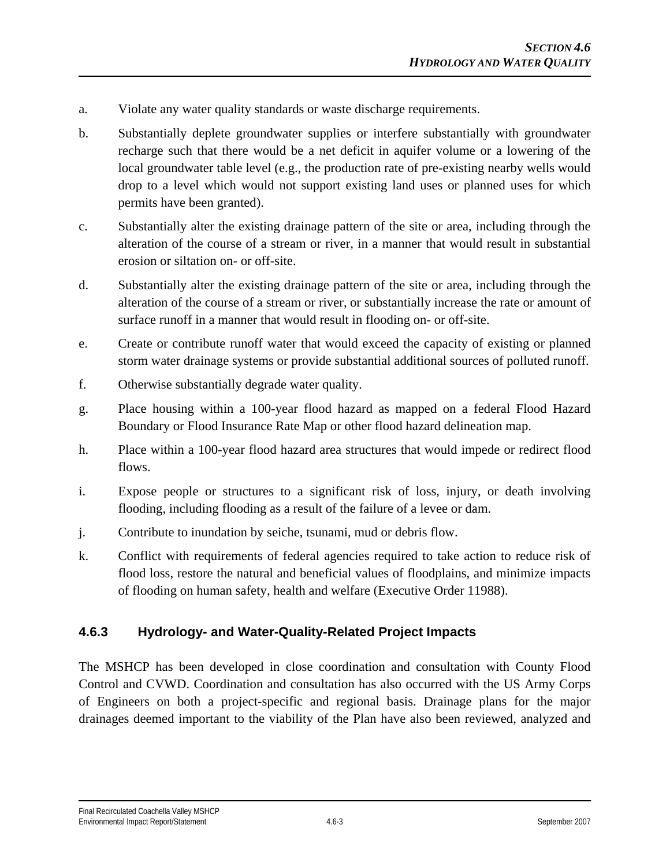- a. Violate any water quality standards or waste discharge requirements.
- b. Substantially deplete groundwater supplies or interfere substantially with groundwater recharge such that there would be a net deficit in aquifer volume or a lowering of the local groundwater table level (e.g., the production rate of pre-existing nearby wells would drop to a level which would not support existing land uses or planned uses for which permits have been granted).
- c. Substantially alter the existing drainage pattern of the site or area, including through the alteration of the course of a stream or river, in a manner that would result in substantial erosion or siltation on- or off-site.
- d. Substantially alter the existing drainage pattern of the site or area, including through the alteration of the course of a stream or river, or substantially increase the rate or amount of surface runoff in a manner that would result in flooding on- or off-site.
- e. Create or contribute runoff water that would exceed the capacity of existing or planned storm water drainage systems or provide substantial additional sources of polluted runoff.
- f. Otherwise substantially degrade water quality.
- g. Place housing within a 100-year flood hazard as mapped on a federal Flood Hazard Boundary or Flood Insurance Rate Map or other flood hazard delineation map.
- h. Place within a 100-year flood hazard area structures that would impede or redirect flood flows.
- i. Expose people or structures to a significant risk of loss, injury, or death involving flooding, including flooding as a result of the failure of a levee or dam.
- j. Contribute to inundation by seiche, tsunami, mud or debris flow.
- k. Conflict with requirements of federal agencies required to take action to reduce risk of flood loss, restore the natural and beneficial values of floodplains, and minimize impacts of flooding on human safety, health and welfare (Executive Order 11988).

### **4.6.3 Hydrology- and Water-Quality-Related Project Impacts**

The MSHCP has been developed in close coordination and consultation with County Flood Control and CVWD. Coordination and consultation has also occurred with the US Army Corps of Engineers on both a project-specific and regional basis. Drainage plans for the major drainages deemed important to the viability of the Plan have also been reviewed, analyzed and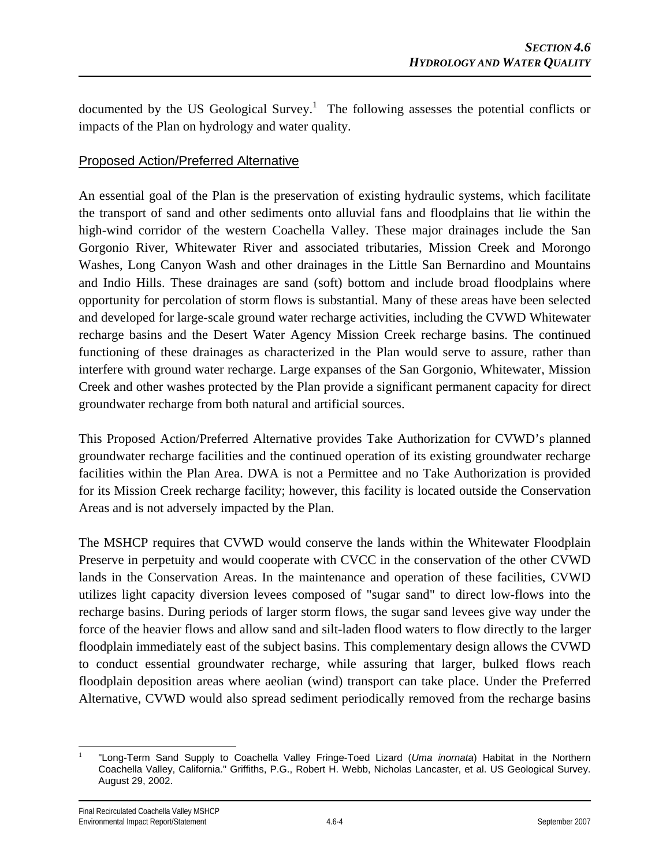documented by the US Geological Survey.<sup>1</sup> The following assesses the potential conflicts or impacts of the Plan on hydrology and water quality.

#### Proposed Action/Preferred Alternative

An essential goal of the Plan is the preservation of existing hydraulic systems, which facilitate the transport of sand and other sediments onto alluvial fans and floodplains that lie within the high-wind corridor of the western Coachella Valley. These major drainages include the San Gorgonio River, Whitewater River and associated tributaries, Mission Creek and Morongo Washes, Long Canyon Wash and other drainages in the Little San Bernardino and Mountains and Indio Hills. These drainages are sand (soft) bottom and include broad floodplains where opportunity for percolation of storm flows is substantial. Many of these areas have been selected and developed for large-scale ground water recharge activities, including the CVWD Whitewater recharge basins and the Desert Water Agency Mission Creek recharge basins. The continued functioning of these drainages as characterized in the Plan would serve to assure, rather than interfere with ground water recharge. Large expanses of the San Gorgonio, Whitewater, Mission Creek and other washes protected by the Plan provide a significant permanent capacity for direct groundwater recharge from both natural and artificial sources.

This Proposed Action/Preferred Alternative provides Take Authorization for CVWD's planned groundwater recharge facilities and the continued operation of its existing groundwater recharge facilities within the Plan Area. DWA is not a Permittee and no Take Authorization is provided for its Mission Creek recharge facility; however, this facility is located outside the Conservation Areas and is not adversely impacted by the Plan.

The MSHCP requires that CVWD would conserve the lands within the Whitewater Floodplain Preserve in perpetuity and would cooperate with CVCC in the conservation of the other CVWD lands in the Conservation Areas. In the maintenance and operation of these facilities, CVWD utilizes light capacity diversion levees composed of "sugar sand" to direct low-flows into the recharge basins. During periods of larger storm flows, the sugar sand levees give way under the force of the heavier flows and allow sand and silt-laden flood waters to flow directly to the larger floodplain immediately east of the subject basins. This complementary design allows the CVWD to conduct essential groundwater recharge, while assuring that larger, bulked flows reach floodplain deposition areas where aeolian (wind) transport can take place. Under the Preferred Alternative, CVWD would also spread sediment periodically removed from the recharge basins

 $\overline{a}$ 1 "Long-Term Sand Supply to Coachella Valley Fringe-Toed Lizard (*Uma inornata*) Habitat in the Northern Coachella Valley, California." Griffiths, P.G., Robert H. Webb, Nicholas Lancaster, et al. US Geological Survey. August 29, 2002.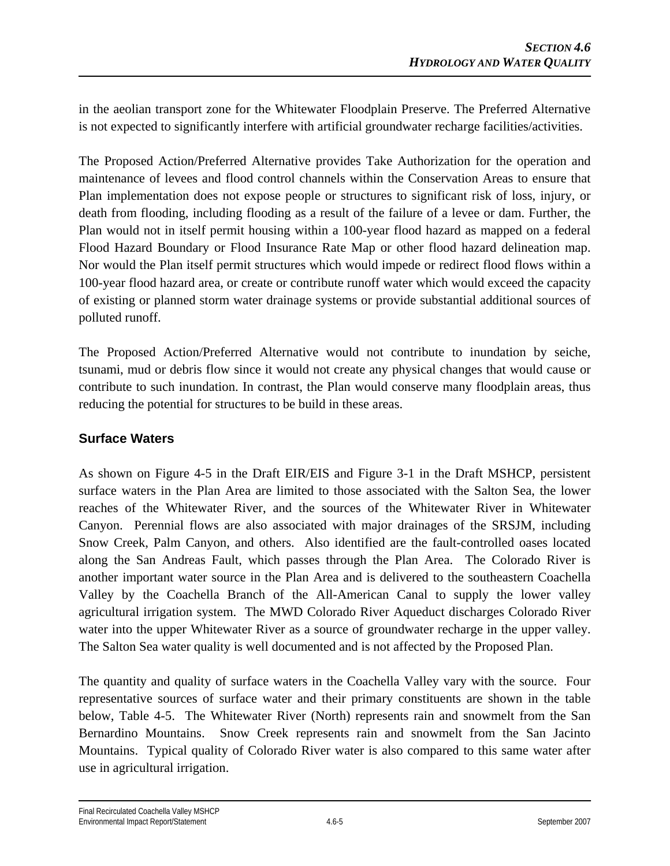in the aeolian transport zone for the Whitewater Floodplain Preserve. The Preferred Alternative is not expected to significantly interfere with artificial groundwater recharge facilities/activities.

The Proposed Action/Preferred Alternative provides Take Authorization for the operation and maintenance of levees and flood control channels within the Conservation Areas to ensure that Plan implementation does not expose people or structures to significant risk of loss, injury, or death from flooding, including flooding as a result of the failure of a levee or dam. Further, the Plan would not in itself permit housing within a 100-year flood hazard as mapped on a federal Flood Hazard Boundary or Flood Insurance Rate Map or other flood hazard delineation map. Nor would the Plan itself permit structures which would impede or redirect flood flows within a 100-year flood hazard area, or create or contribute runoff water which would exceed the capacity of existing or planned storm water drainage systems or provide substantial additional sources of polluted runoff.

The Proposed Action/Preferred Alternative would not contribute to inundation by seiche, tsunami, mud or debris flow since it would not create any physical changes that would cause or contribute to such inundation. In contrast, the Plan would conserve many floodplain areas, thus reducing the potential for structures to be build in these areas.

### **Surface Waters**

As shown on Figure 4-5 in the Draft EIR/EIS and Figure 3-1 in the Draft MSHCP, persistent surface waters in the Plan Area are limited to those associated with the Salton Sea, the lower reaches of the Whitewater River, and the sources of the Whitewater River in Whitewater Canyon. Perennial flows are also associated with major drainages of the SRSJM, including Snow Creek, Palm Canyon, and others. Also identified are the fault-controlled oases located along the San Andreas Fault, which passes through the Plan Area. The Colorado River is another important water source in the Plan Area and is delivered to the southeastern Coachella Valley by the Coachella Branch of the All-American Canal to supply the lower valley agricultural irrigation system. The MWD Colorado River Aqueduct discharges Colorado River water into the upper Whitewater River as a source of groundwater recharge in the upper valley. The Salton Sea water quality is well documented and is not affected by the Proposed Plan.

The quantity and quality of surface waters in the Coachella Valley vary with the source. Four representative sources of surface water and their primary constituents are shown in the table below, Table 4-5. The Whitewater River (North) represents rain and snowmelt from the San Bernardino Mountains. Snow Creek represents rain and snowmelt from the San Jacinto Mountains. Typical quality of Colorado River water is also compared to this same water after use in agricultural irrigation.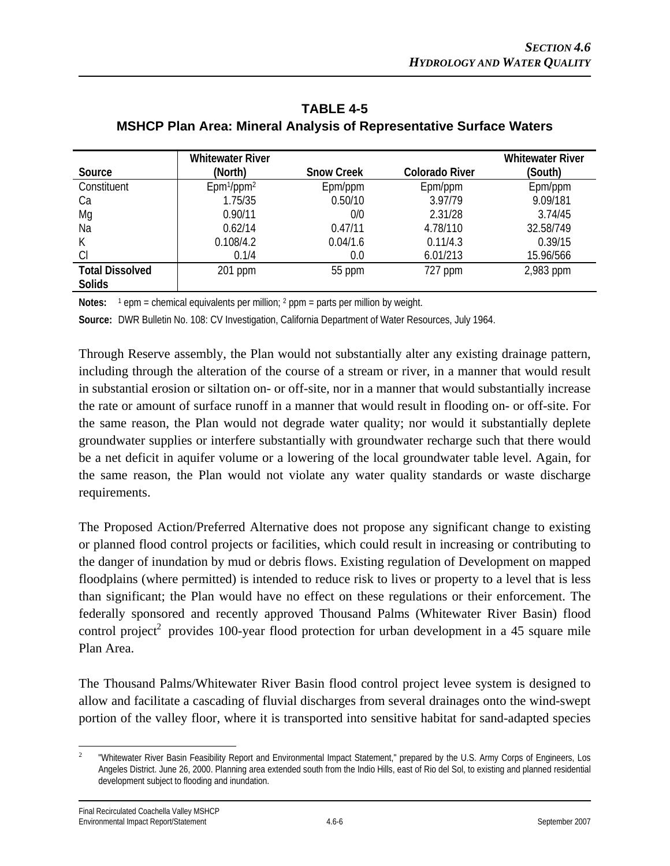|                        | <b>Whitewater River</b>            |                   |                       | <b>Whitewater River</b> |
|------------------------|------------------------------------|-------------------|-----------------------|-------------------------|
| Source                 | (North)                            | <b>Snow Creek</b> | <b>Colorado River</b> | (South)                 |
| Constituent            | Epm <sup>1</sup> /ppm <sup>2</sup> | Epm/ppm           | Epm/ppm               | Epm/ppm                 |
| Ca                     | 1.75/35                            | 0.50/10           | 3.97/79               | 9.09/181                |
| Mg                     | 0.90/11                            | 0/0               | 2.31/28               | 3.74/45                 |
| Na                     | 0.62/14                            | 0.47/11           | 4.78/110              | 32.58/749               |
| К                      | 0.108/4.2                          | 0.04/1.6          | 0.11/4.3              | 0.39/15                 |
| CI                     | 0.1/4                              | 0.0               | 6.01/213              | 15.96/566               |
| <b>Total Dissolved</b> | 201 ppm                            | 55 ppm            | 727 ppm               | 2,983 ppm               |
| <b>Solids</b>          |                                    |                   |                       |                         |

**TABLE 4-5 MSHCP Plan Area: Mineral Analysis of Representative Surface Waters** 

**Notes:** <sup>1</sup> epm = chemical equivalents per million; <sup>2</sup> ppm = parts per million by weight.

**Source:** DWR Bulletin No. 108: CV Investigation, California Department of Water Resources, July 1964.

Through Reserve assembly, the Plan would not substantially alter any existing drainage pattern, including through the alteration of the course of a stream or river, in a manner that would result in substantial erosion or siltation on- or off-site, nor in a manner that would substantially increase the rate or amount of surface runoff in a manner that would result in flooding on- or off-site. For the same reason, the Plan would not degrade water quality; nor would it substantially deplete groundwater supplies or interfere substantially with groundwater recharge such that there would be a net deficit in aquifer volume or a lowering of the local groundwater table level. Again, for the same reason, the Plan would not violate any water quality standards or waste discharge requirements.

The Proposed Action/Preferred Alternative does not propose any significant change to existing or planned flood control projects or facilities, which could result in increasing or contributing to the danger of inundation by mud or debris flows. Existing regulation of Development on mapped floodplains (where permitted) is intended to reduce risk to lives or property to a level that is less than significant; the Plan would have no effect on these regulations or their enforcement. The federally sponsored and recently approved Thousand Palms (Whitewater River Basin) flood control project<sup>2</sup> provides 100-year flood protection for urban development in a 45 square mile Plan Area.

The Thousand Palms/Whitewater River Basin flood control project levee system is designed to allow and facilitate a cascading of fluvial discharges from several drainages onto the wind-swept portion of the valley floor, where it is transported into sensitive habitat for sand-adapted species

 $\overline{a}$ 2 "Whitewater River Basin Feasibility Report and Environmental Impact Statement," prepared by the U.S. Army Corps of Engineers, Los Angeles District. June 26, 2000. Planning area extended south from the Indio Hills, east of Rio del Sol, to existing and planned residential development subject to flooding and inundation.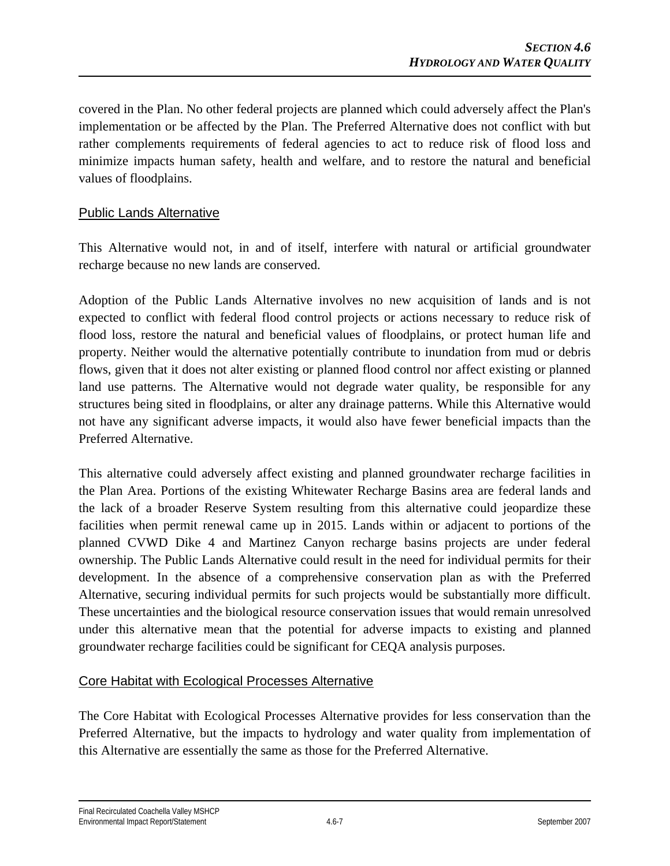covered in the Plan. No other federal projects are planned which could adversely affect the Plan's implementation or be affected by the Plan. The Preferred Alternative does not conflict with but rather complements requirements of federal agencies to act to reduce risk of flood loss and minimize impacts human safety, health and welfare, and to restore the natural and beneficial values of floodplains.

#### Public Lands Alternative

This Alternative would not, in and of itself, interfere with natural or artificial groundwater recharge because no new lands are conserved.

Adoption of the Public Lands Alternative involves no new acquisition of lands and is not expected to conflict with federal flood control projects or actions necessary to reduce risk of flood loss, restore the natural and beneficial values of floodplains, or protect human life and property. Neither would the alternative potentially contribute to inundation from mud or debris flows, given that it does not alter existing or planned flood control nor affect existing or planned land use patterns. The Alternative would not degrade water quality, be responsible for any structures being sited in floodplains, or alter any drainage patterns. While this Alternative would not have any significant adverse impacts, it would also have fewer beneficial impacts than the Preferred Alternative.

This alternative could adversely affect existing and planned groundwater recharge facilities in the Plan Area. Portions of the existing Whitewater Recharge Basins area are federal lands and the lack of a broader Reserve System resulting from this alternative could jeopardize these facilities when permit renewal came up in 2015. Lands within or adjacent to portions of the planned CVWD Dike 4 and Martinez Canyon recharge basins projects are under federal ownership. The Public Lands Alternative could result in the need for individual permits for their development. In the absence of a comprehensive conservation plan as with the Preferred Alternative, securing individual permits for such projects would be substantially more difficult. These uncertainties and the biological resource conservation issues that would remain unresolved under this alternative mean that the potential for adverse impacts to existing and planned groundwater recharge facilities could be significant for CEQA analysis purposes.

#### Core Habitat with Ecological Processes Alternative

The Core Habitat with Ecological Processes Alternative provides for less conservation than the Preferred Alternative, but the impacts to hydrology and water quality from implementation of this Alternative are essentially the same as those for the Preferred Alternative.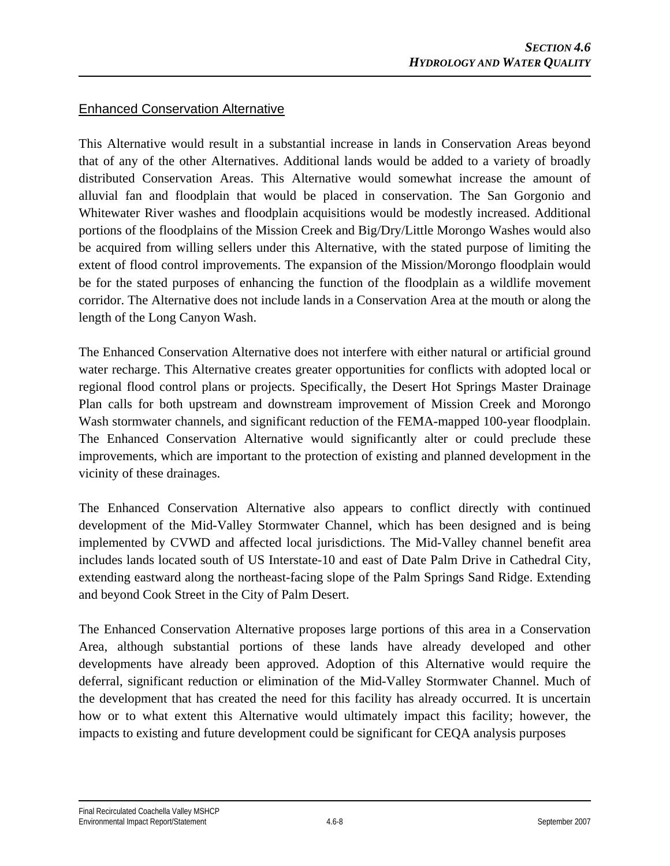#### Enhanced Conservation Alternative

This Alternative would result in a substantial increase in lands in Conservation Areas beyond that of any of the other Alternatives. Additional lands would be added to a variety of broadly distributed Conservation Areas. This Alternative would somewhat increase the amount of alluvial fan and floodplain that would be placed in conservation. The San Gorgonio and Whitewater River washes and floodplain acquisitions would be modestly increased. Additional portions of the floodplains of the Mission Creek and Big/Dry/Little Morongo Washes would also be acquired from willing sellers under this Alternative, with the stated purpose of limiting the extent of flood control improvements. The expansion of the Mission/Morongo floodplain would be for the stated purposes of enhancing the function of the floodplain as a wildlife movement corridor. The Alternative does not include lands in a Conservation Area at the mouth or along the length of the Long Canyon Wash.

The Enhanced Conservation Alternative does not interfere with either natural or artificial ground water recharge. This Alternative creates greater opportunities for conflicts with adopted local or regional flood control plans or projects. Specifically, the Desert Hot Springs Master Drainage Plan calls for both upstream and downstream improvement of Mission Creek and Morongo Wash stormwater channels, and significant reduction of the FEMA-mapped 100-year floodplain. The Enhanced Conservation Alternative would significantly alter or could preclude these improvements, which are important to the protection of existing and planned development in the vicinity of these drainages.

The Enhanced Conservation Alternative also appears to conflict directly with continued development of the Mid-Valley Stormwater Channel, which has been designed and is being implemented by CVWD and affected local jurisdictions. The Mid-Valley channel benefit area includes lands located south of US Interstate-10 and east of Date Palm Drive in Cathedral City, extending eastward along the northeast-facing slope of the Palm Springs Sand Ridge. Extending and beyond Cook Street in the City of Palm Desert.

The Enhanced Conservation Alternative proposes large portions of this area in a Conservation Area, although substantial portions of these lands have already developed and other developments have already been approved. Adoption of this Alternative would require the deferral, significant reduction or elimination of the Mid-Valley Stormwater Channel. Much of the development that has created the need for this facility has already occurred. It is uncertain how or to what extent this Alternative would ultimately impact this facility; however, the impacts to existing and future development could be significant for CEQA analysis purposes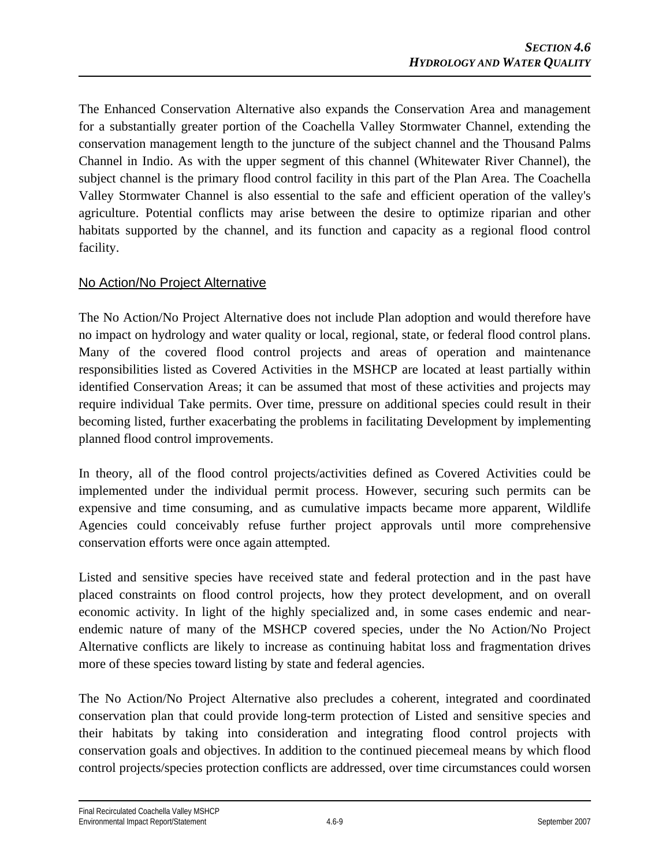The Enhanced Conservation Alternative also expands the Conservation Area and management for a substantially greater portion of the Coachella Valley Stormwater Channel, extending the conservation management length to the juncture of the subject channel and the Thousand Palms Channel in Indio. As with the upper segment of this channel (Whitewater River Channel), the subject channel is the primary flood control facility in this part of the Plan Area. The Coachella Valley Stormwater Channel is also essential to the safe and efficient operation of the valley's agriculture. Potential conflicts may arise between the desire to optimize riparian and other habitats supported by the channel, and its function and capacity as a regional flood control facility.

### No Action/No Project Alternative

The No Action/No Project Alternative does not include Plan adoption and would therefore have no impact on hydrology and water quality or local, regional, state, or federal flood control plans. Many of the covered flood control projects and areas of operation and maintenance responsibilities listed as Covered Activities in the MSHCP are located at least partially within identified Conservation Areas; it can be assumed that most of these activities and projects may require individual Take permits. Over time, pressure on additional species could result in their becoming listed, further exacerbating the problems in facilitating Development by implementing planned flood control improvements.

In theory, all of the flood control projects/activities defined as Covered Activities could be implemented under the individual permit process. However, securing such permits can be expensive and time consuming, and as cumulative impacts became more apparent, Wildlife Agencies could conceivably refuse further project approvals until more comprehensive conservation efforts were once again attempted.

Listed and sensitive species have received state and federal protection and in the past have placed constraints on flood control projects, how they protect development, and on overall economic activity. In light of the highly specialized and, in some cases endemic and nearendemic nature of many of the MSHCP covered species, under the No Action/No Project Alternative conflicts are likely to increase as continuing habitat loss and fragmentation drives more of these species toward listing by state and federal agencies.

The No Action/No Project Alternative also precludes a coherent, integrated and coordinated conservation plan that could provide long-term protection of Listed and sensitive species and their habitats by taking into consideration and integrating flood control projects with conservation goals and objectives. In addition to the continued piecemeal means by which flood control projects/species protection conflicts are addressed, over time circumstances could worsen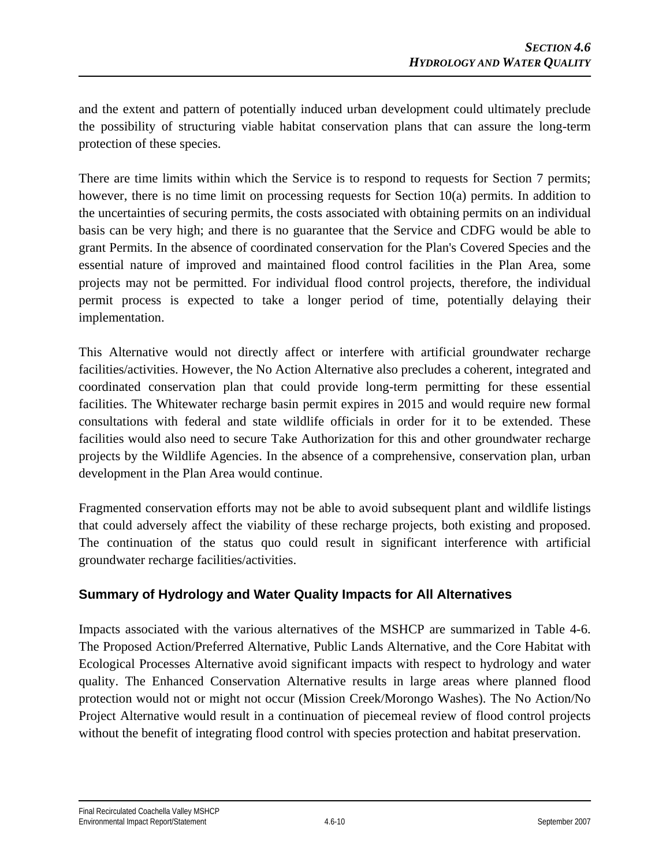and the extent and pattern of potentially induced urban development could ultimately preclude the possibility of structuring viable habitat conservation plans that can assure the long-term protection of these species.

There are time limits within which the Service is to respond to requests for Section 7 permits; however, there is no time limit on processing requests for Section 10(a) permits. In addition to the uncertainties of securing permits, the costs associated with obtaining permits on an individual basis can be very high; and there is no guarantee that the Service and CDFG would be able to grant Permits. In the absence of coordinated conservation for the Plan's Covered Species and the essential nature of improved and maintained flood control facilities in the Plan Area, some projects may not be permitted. For individual flood control projects, therefore, the individual permit process is expected to take a longer period of time, potentially delaying their implementation.

This Alternative would not directly affect or interfere with artificial groundwater recharge facilities/activities. However, the No Action Alternative also precludes a coherent, integrated and coordinated conservation plan that could provide long-term permitting for these essential facilities. The Whitewater recharge basin permit expires in 2015 and would require new formal consultations with federal and state wildlife officials in order for it to be extended. These facilities would also need to secure Take Authorization for this and other groundwater recharge projects by the Wildlife Agencies. In the absence of a comprehensive, conservation plan, urban development in the Plan Area would continue.

Fragmented conservation efforts may not be able to avoid subsequent plant and wildlife listings that could adversely affect the viability of these recharge projects, both existing and proposed. The continuation of the status quo could result in significant interference with artificial groundwater recharge facilities/activities.

### **Summary of Hydrology and Water Quality Impacts for All Alternatives**

Impacts associated with the various alternatives of the MSHCP are summarized in Table 4-6. The Proposed Action/Preferred Alternative, Public Lands Alternative, and the Core Habitat with Ecological Processes Alternative avoid significant impacts with respect to hydrology and water quality. The Enhanced Conservation Alternative results in large areas where planned flood protection would not or might not occur (Mission Creek/Morongo Washes). The No Action/No Project Alternative would result in a continuation of piecemeal review of flood control projects without the benefit of integrating flood control with species protection and habitat preservation.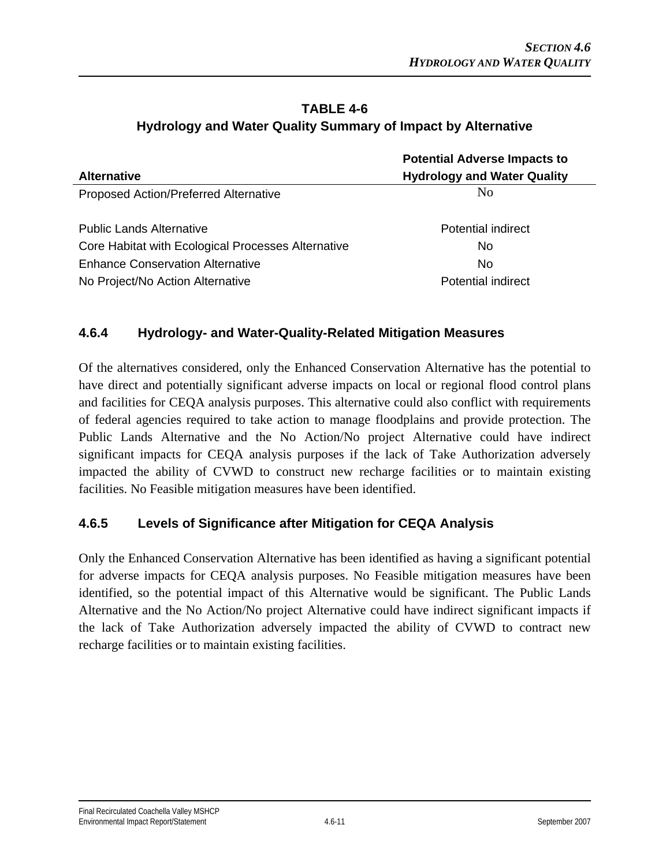# **TABLE 4-6 Hydrology and Water Quality Summary of Impact by Alternative**

|                                                    | <b>Potential Adverse Impacts to</b> |  |
|----------------------------------------------------|-------------------------------------|--|
| <b>Alternative</b>                                 | <b>Hydrology and Water Quality</b>  |  |
| Proposed Action/Preferred Alternative              | N <sub>0</sub>                      |  |
| <b>Public Lands Alternative</b>                    | Potential indirect                  |  |
| Core Habitat with Ecological Processes Alternative | No.                                 |  |
| <b>Enhance Conservation Alternative</b>            | No.                                 |  |
| No Project/No Action Alternative                   | Potential indirect                  |  |

### **4.6.4 Hydrology- and Water-Quality-Related Mitigation Measures**

Of the alternatives considered, only the Enhanced Conservation Alternative has the potential to have direct and potentially significant adverse impacts on local or regional flood control plans and facilities for CEQA analysis purposes. This alternative could also conflict with requirements of federal agencies required to take action to manage floodplains and provide protection. The Public Lands Alternative and the No Action/No project Alternative could have indirect significant impacts for CEQA analysis purposes if the lack of Take Authorization adversely impacted the ability of CVWD to construct new recharge facilities or to maintain existing facilities. No Feasible mitigation measures have been identified.

### **4.6.5 Levels of Significance after Mitigation for CEQA Analysis**

Only the Enhanced Conservation Alternative has been identified as having a significant potential for adverse impacts for CEQA analysis purposes. No Feasible mitigation measures have been identified, so the potential impact of this Alternative would be significant. The Public Lands Alternative and the No Action/No project Alternative could have indirect significant impacts if the lack of Take Authorization adversely impacted the ability of CVWD to contract new recharge facilities or to maintain existing facilities.